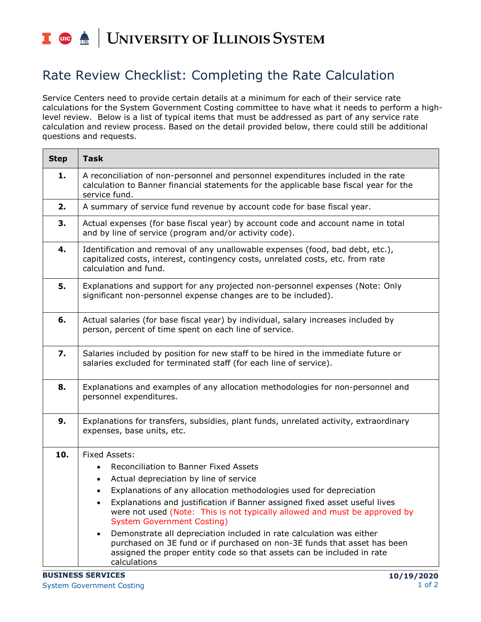## I **C**  $\triangleq$  UNIVERSITY OF ILLINOIS SYSTEM

## Rate Review Checklist: Completing the Rate Calculation

Service Centers need to provide certain details at a minimum for each of their service rate calculations for the System Government Costing committee to have what it needs to perform a highlevel review. Below is a list of typical items that must be addressed as part of any service rate calculation and review process. Based on the detail provided below, there could still be additional questions and requests.

| <b>Step</b> | <b>Task</b>                                                                                                                                                                                                                                                                                                                                                                                                                                                                                                                                                                                                                                                 |
|-------------|-------------------------------------------------------------------------------------------------------------------------------------------------------------------------------------------------------------------------------------------------------------------------------------------------------------------------------------------------------------------------------------------------------------------------------------------------------------------------------------------------------------------------------------------------------------------------------------------------------------------------------------------------------------|
| 1.          | A reconciliation of non-personnel and personnel expenditures included in the rate<br>calculation to Banner financial statements for the applicable base fiscal year for the<br>service fund.                                                                                                                                                                                                                                                                                                                                                                                                                                                                |
| 2.          | A summary of service fund revenue by account code for base fiscal year.                                                                                                                                                                                                                                                                                                                                                                                                                                                                                                                                                                                     |
| 3.          | Actual expenses (for base fiscal year) by account code and account name in total<br>and by line of service (program and/or activity code).                                                                                                                                                                                                                                                                                                                                                                                                                                                                                                                  |
| 4.          | Identification and removal of any unallowable expenses (food, bad debt, etc.),<br>capitalized costs, interest, contingency costs, unrelated costs, etc. from rate<br>calculation and fund.                                                                                                                                                                                                                                                                                                                                                                                                                                                                  |
| 5.          | Explanations and support for any projected non-personnel expenses (Note: Only<br>significant non-personnel expense changes are to be included).                                                                                                                                                                                                                                                                                                                                                                                                                                                                                                             |
| 6.          | Actual salaries (for base fiscal year) by individual, salary increases included by<br>person, percent of time spent on each line of service.                                                                                                                                                                                                                                                                                                                                                                                                                                                                                                                |
| 7.          | Salaries included by position for new staff to be hired in the immediate future or<br>salaries excluded for terminated staff (for each line of service).                                                                                                                                                                                                                                                                                                                                                                                                                                                                                                    |
| 8.          | Explanations and examples of any allocation methodologies for non-personnel and<br>personnel expenditures.                                                                                                                                                                                                                                                                                                                                                                                                                                                                                                                                                  |
| 9.          | Explanations for transfers, subsidies, plant funds, unrelated activity, extraordinary<br>expenses, base units, etc.                                                                                                                                                                                                                                                                                                                                                                                                                                                                                                                                         |
| 10.         | <b>Fixed Assets:</b><br>Reconciliation to Banner Fixed Assets<br>Actual depreciation by line of service<br>٠<br>Explanations of any allocation methodologies used for depreciation<br>$\bullet$<br>Explanations and justification if Banner assigned fixed asset useful lives<br>were not used (Note: This is not typically allowed and must be approved by<br><b>System Government Costing)</b><br>Demonstrate all depreciation included in rate calculation was either<br>$\bullet$<br>purchased on 3E fund or if purchased on non-3E funds that asset has been<br>assigned the proper entity code so that assets can be included in rate<br>calculations |